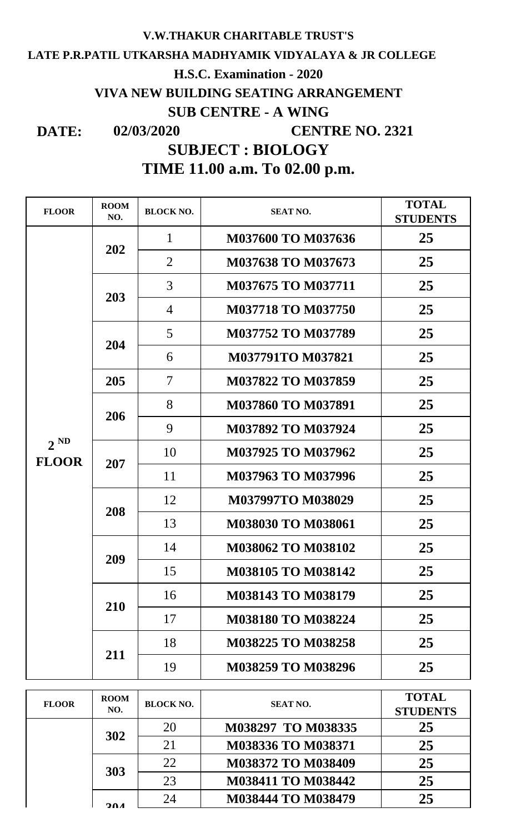## **LATE P.R.PATIL UTKARSHA MADHYAMIK VIDYALAYA & JR COLLEGE DATE: 02/03/2020 V.W.THAKUR CHARITABLE TRUST'S H.S.C. Examination - 2020 VIVA NEW BUILDING SEATING ARRANGEMENT SUB CENTRE - A WING CENTRE NO. 2321 TIME 11.00 a.m. To 02.00 p.m. SUBJECT : BIOLOGY**

| <b>FLOOR</b>             | <b>ROOM</b><br>NO. | <b>BLOCK NO.</b> | <b>SEAT NO.</b>           | <b>TOTAL</b><br><b>STUDENTS</b> |
|--------------------------|--------------------|------------------|---------------------------|---------------------------------|
| $2^{ND}$<br><b>FLOOR</b> | 202                | 1                | <b>M037600 TO M037636</b> | 25                              |
|                          |                    | $\overline{2}$   | <b>M037638 TO M037673</b> | 25                              |
|                          | 203                | 3                | <b>M037675 TO M037711</b> | 25                              |
|                          |                    | $\overline{4}$   | <b>M037718 TO M037750</b> | 25                              |
|                          | 204                | 5                | M037752 TO M037789        | 25                              |
|                          |                    | 6                | <b>M037791TO M037821</b>  | 25                              |
|                          | 205                | 7                | <b>M037822 TO M037859</b> | 25                              |
|                          | 206                | 8                | M037860 TO M037891        | 25                              |
|                          |                    | 9                | M037892 TO M037924        | 25                              |
|                          | 207                | 10               | M037925 TO M037962        | 25                              |
|                          |                    | 11               | M037963 TO M037996        | 25                              |
|                          | 208                | 12               | <b>M037997TO M038029</b>  | 25                              |
|                          |                    | 13               | M038030 TO M038061        | 25                              |
|                          | 209                | 14               | M038062 TO M038102        | 25                              |
|                          |                    | 15               | M038105 TO M038142        | 25                              |
|                          | 210                | 16               | <b>M038143 TO M038179</b> | 25                              |
|                          |                    | 17               | <b>M038180 TO M038224</b> | 25                              |
|                          | 211                | 18               | <b>M038225 TO M038258</b> | 25                              |
|                          |                    | 19               | M038259 TO M038296        | 25                              |

| <b>FLOOR</b> | <b>ROOM</b><br>NO. | <b>BLOCK NO.</b> | <b>SEAT NO.</b>    | <b>TOTAL</b><br><b>STUDENTS</b> |
|--------------|--------------------|------------------|--------------------|---------------------------------|
|              | 302                | 20               | M038297 TO M038335 | 25                              |
|              |                    | 21               | M038336 TO M038371 | 25                              |
|              | 303                | 22               | M038372 TO M038409 | 25                              |
|              |                    | 23               | M038411 TO M038442 | 25                              |
|              | 204                | 24               | M038444 TO M038479 | 25                              |